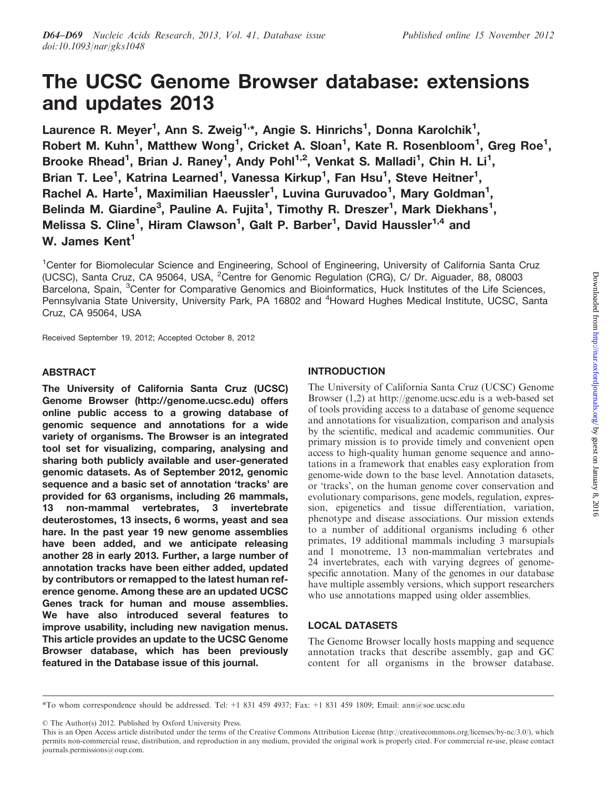# The UCSC Genome Browser database: extensions and updates 2013

Laurence R. Meyer<sup>1</sup>, Ann S. Zweig<sup>1,</sup>\*, Angie S. Hinrichs<sup>1</sup>, Donna Karolchik<sup>1</sup>, Robert M. Kuhn<sup>1</sup>, Matthew Wong<sup>1</sup>, Cricket A. Sloan<sup>1</sup>, Kate R. Rosenbloom<sup>1</sup>, Greg Roe<sup>1</sup>, Brooke Rhead<sup>1</sup>, Brian J. Raney<sup>1</sup>, Andy Pohl<sup>1,2</sup>, Venkat S. Malladi<sup>1</sup>, Chin H. Li<sup>1</sup>, Brian T. Lee<sup>1</sup>, Katrina Learned<sup>1</sup>, Vanessa Kirkup<sup>1</sup>, Fan Hsu<sup>1</sup>, Steve Heitner<sup>1</sup>, Rachel A. Harte<sup>1</sup>, Maximilian Haeussler<sup>1</sup>, Luvina Guruvadoo<sup>1</sup>, Mary Goldman<sup>1</sup>, Belinda M. Giardine<sup>3</sup>, Pauline A. Fujita<sup>1</sup>, Timothy R. Dreszer<sup>1</sup>, Mark Diekhans<sup>1</sup>, Melissa S. Cline<sup>1</sup>, Hiram Clawson<sup>1</sup>, Galt P. Barber<sup>1</sup>, David Haussler<sup>1,4</sup> and W. James Kent<sup>1</sup>

<sup>1</sup>Center for Biomolecular Science and Engineering, School of Engineering, University of California Santa Cruz (UCSC), Santa Cruz, CA 95064, USA, <sup>2</sup>Centre for Genomic Regulation (CRG), C/ Dr. Aiguader, 88, 08003 Barcelona, Spain, <sup>3</sup>Center for Comparative Genomics and Bioinformatics, Huck Institutes of the Life Sciences, Pennsylvania State University, University Park, PA 16802 and <sup>4</sup>Howard Hughes Medical Institute, UCSC, Santa Cruz, CA 95064, USA

Received September 19, 2012; Accepted October 8, 2012

## ABSTRACT

The University of California Santa Cruz (UCSC) Genome Browser (http://genome.ucsc.edu) offers online public access to a growing database of genomic sequence and annotations for a wide variety of organisms. The Browser is an integrated tool set for visualizing, comparing, analysing and sharing both publicly available and user-generated genomic datasets. As of September 2012, genomic sequence and a basic set of annotation 'tracks' are provided for 63 organisms, including 26 mammals, 13 non-mammal vertebrates, 3 invertebrate deuterostomes, 13 insects, 6 worms, yeast and sea hare. In the past year 19 new genome assemblies have been added, and we anticipate releasing another 28 in early 2013. Further, a large number of annotation tracks have been either added, updated by contributors or remapped to the latest human reference genome. Among these are an updated UCSC Genes track for human and mouse assemblies. We have also introduced several features to improve usability, including new navigation menus. This article provides an update to the UCSC Genome Browser database, which has been previously featured in the Database issue of this journal.

## INTRODUCTION

The University of California Santa Cruz (UCSC) Genome Browser [\(1,2\)](#page-4-0) at http://genome.ucsc.edu is a web-based set of tools providing access to a database of genome sequence and annotations for visualization, comparison and analysis by the scientific, medical and academic communities. Our primary mission is to provide timely and convenient open access to high-quality human genome sequence and annotations in a framework that enables easy exploration from genome-wide down to the base level. Annotation datasets, or 'tracks', on the human genome cover conservation and evolutionary comparisons, gene models, regulation, expression, epigenetics and tissue differentiation, variation, phenotype and disease associations. Our mission extends to a number of additional organisms including 6 other primates, 19 additional mammals including 3 marsupials and 1 monotreme, 13 non-mammalian vertebrates and 24 invertebrates, each with varying degrees of genomespecific annotation. Many of the genomes in our database have multiple assembly versions, which support researchers who use annotations mapped using older assemblies.

## LOCAL DATASETS

The Genome Browser locally hosts mapping and sequence annotation tracks that describe assembly, gap and GC content for all organisms in the browser database.

© The Author(s) 2012. Published by Oxford University Press.

<sup>\*</sup>To whom correspondence should be addressed. Tel: +1 831 459 4937; Fax: +1 831 459 1809; Email: ann@soe.ucsc.edu

This is an Open Access article distributed under the terms of the Creative Commons Attribution License (http://creativecommons.org/licenses/by-nc/3.0/), which permits non-commercial reuse, distribution, and reproduction in any medium, provided the original work is properly cited. For commercial re-use, please contact journals.permissions@oup.com.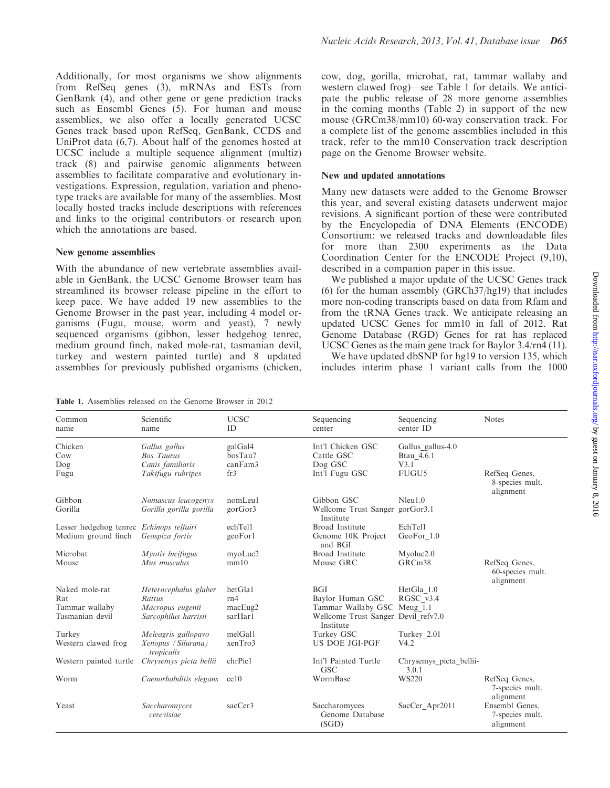Additionally, for most organisms we show alignments from RefSeq genes ([3\)](#page-4-0), mRNAs and ESTs from GenBank [\(4](#page-4-0)), and other gene or gene prediction tracks such as Ensembl Genes [\(5](#page-4-0)). For human and mouse assemblies, we also offer a locally generated UCSC Genes track based upon RefSeq, GenBank, CCDS and UniProt data [\(6](#page-4-0),[7\)](#page-4-0). About half of the genomes hosted at UCSC include a multiple sequence alignment (multiz) track ([8\)](#page-5-0) and pairwise genomic alignments between assemblies to facilitate comparative and evolutionary investigations. Expression, regulation, variation and phenotype tracks are available for many of the assemblies. Most locally hosted tracks include descriptions with references and links to the original contributors or research upon which the annotations are based.

### New genome assemblies

With the abundance of new vertebrate assemblies available in GenBank, the UCSC Genome Browser team has streamlined its browser release pipeline in the effort to keep pace. We have added 19 new assemblies to the Genome Browser in the past year, including 4 model organisms (Fugu, mouse, worm and yeast), 7 newly sequenced organisms (gibbon, lesser hedgehog tenrec, medium ground finch, naked mole-rat, tasmanian devil, turkey and western painted turtle) and 8 updated assemblies for previously published organisms (chicken,

Table 1. Assemblies released on the Genome Browser in 2012

cow, dog, gorilla, microbat, rat, tammar wallaby and western clawed frog)—see Table 1 for details. We anticipate the public release of 28 more genome assemblies in the coming months [\(Table 2\)](#page-2-0) in support of the new mouse (GRCm38/mm10) 60-way conservation track. For a complete list of the genome assemblies included in this track, refer to the mm10 Conservation track description page on the Genome Browser website.

### New and updated annotations

Many new datasets were added to the Genome Browser this year, and several existing datasets underwent major revisions. A significant portion of these were contributed by the Encyclopedia of DNA Elements (ENCODE) Consortium: we released tracks and downloadable files for more than 2300 experiments as the Data Coordination Center for the ENCODE Project [\(9](#page-5-0),[10\)](#page-5-0), described in a companion paper in this issue.

We published a major update of the UCSC Genes track [\(6\)](#page-4-0) for the human assembly (GRCh37/hg19) that includes more non-coding transcripts based on data from Rfam and from the tRNA Genes track. We anticipate releasing an updated UCSC Genes for mm10 in fall of 2012. Rat Genome Database (RGD) Genes for rat has replaced UCSC Genes as the main gene track for Baylor 3.4/rn4 [\(11](#page-5-0)).

We have updated dbSNP for hg19 to version 135, which includes interim phase 1 variant calls from the 1000

| Common<br>name                           | Scientific<br>name                                     | <b>UCSC</b><br>ID             | Sequencing<br>center                             | Sequencing<br>center ID                 | <b>Notes</b>                                   |
|------------------------------------------|--------------------------------------------------------|-------------------------------|--------------------------------------------------|-----------------------------------------|------------------------------------------------|
| Chicken<br>Cow<br>Dog                    | Gallus gallus<br><b>Bos Taurus</b><br>Canis familiaris | galGal4<br>bosTau7<br>canFam3 | Int'l Chicken GSC<br>Cattle GSC<br>Dog GSC       | Gallus gallus-4.0<br>Btau 4.6.1<br>V3.1 |                                                |
| Fugu                                     | Takifugu rubripes                                      | fr3                           | Int'l Fugu GSC                                   | FUGU5                                   | RefSeq Genes,<br>8-species mult.<br>alignment  |
| Gibbon                                   | Nomascus leucogenys                                    | nomLeul                       | Gibbon GSC                                       | Nleu1.0                                 |                                                |
| Gorilla                                  | Gorilla gorilla gorilla                                | gorGor3                       | Wellcome Trust Sanger gorGor3.1<br>Institute     |                                         |                                                |
| Lesser hedgehog tenrec Echinops telfairi |                                                        | echTel1                       | Broad Institute                                  | EchTel1                                 |                                                |
| Medium ground finch                      | Geospiza fortis                                        | geoForl                       | Genome 10K Project<br>and BGI                    | GeoFor 1.0                              |                                                |
| Microbat                                 | Myotis lucifugus                                       | myoLuc2                       | Broad Institute                                  | Myoluc <sub>2.0</sub>                   |                                                |
| Mouse                                    | Mus musculus                                           | mm10                          | Mouse GRC                                        | GRCm <sub>38</sub>                      | RefSeq Genes,<br>60-species mult.<br>alignment |
| Naked mole-rat                           | Heterocephalus glaber                                  | hetGla1                       | <b>BGI</b>                                       | HetGla 1.0                              |                                                |
| Rat                                      | Rattus                                                 | rn4                           | Baylor Human GSC                                 | RGSC v3.4                               |                                                |
| Tammar wallaby                           | Macropus eugenii                                       | macEug2                       | Tammar Wallaby GSC Meug 1.1                      |                                         |                                                |
| Tasmanian devil                          | Sarcophilus harrisii                                   | sarHarl                       | Wellcome Trust Sanger Devil refv7.0<br>Institute |                                         |                                                |
| Turkey                                   | Meleagris gallopavo                                    | melGall                       | Turkey GSC                                       | Turkey 2.01                             |                                                |
| Western clawed frog                      | Xenopus (Silurana)<br>tropicalis                       | xenTro3                       | <b>US DOE JGI-PGF</b>                            | V4.2                                    |                                                |
| Western painted turtle                   | Chrysemys picta bellii                                 | chrPic1                       | Int'l Painted Turtle<br><b>GSC</b>               | Chrysemys picta bellii-<br>3.0.1        |                                                |
| Worm                                     | Caenorhabditis elegans                                 | ce10                          | WormBase                                         | <b>WS220</b>                            | RefSeq Genes,<br>7-species mult.<br>alignment  |
| Yeast                                    | Saccharomyces<br>cerevisiae                            | sacCer3                       | Saccharomyces<br>Genome Database<br>(SGD)        | SacCer Apr2011                          | Ensembl Genes.<br>7-species mult.<br>alignment |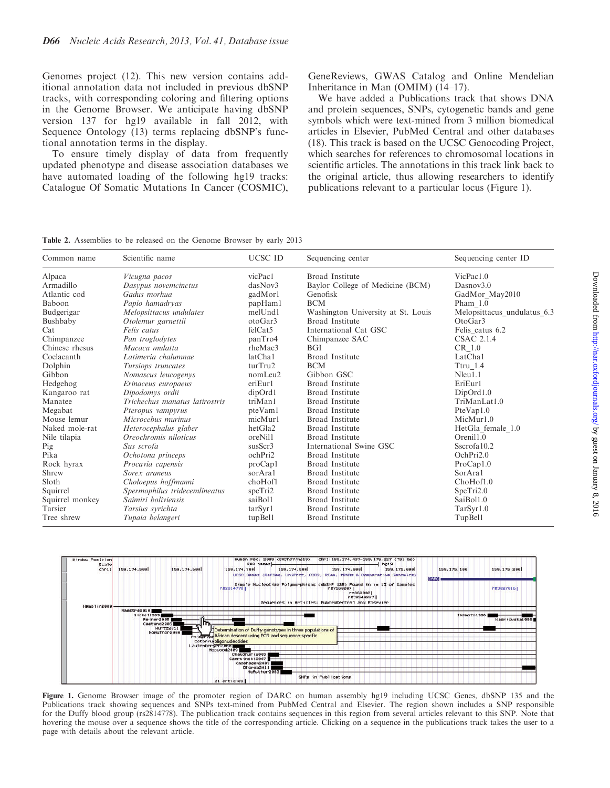<span id="page-2-0"></span>Genomes project ([12\)](#page-5-0). This new version contains additional annotation data not included in previous dbSNP tracks, with corresponding coloring and filtering options in the Genome Browser. We anticipate having dbSNP version 137 for hg19 available in fall 2012, with Sequence Ontology [\(13](#page-5-0)) terms replacing dbSNP's functional annotation terms in the display.

To ensure timely display of data from frequently updated phenotype and disease association databases we have automated loading of the following hg19 tracks: Catalogue Of Somatic Mutations In Cancer (COSMIC), GeneReviews, GWAS Catalog and Online Mendelian Inheritance in Man (OMIM) ([14–17\)](#page-5-0).

We have added a Publications track that shows DNA and protein sequences, SNPs, cytogenetic bands and gene symbols which were text-mined from 3 million biomedical articles in Elsevier, PubMed Central and other databases ([18](#page-5-0)). This track is based on the UCSC Genocoding Project, which searches for references to chromosomal locations in scientific articles. The annotations in this track link back to the original article, thus allowing researchers to identify publications relevant to a particular locus (Figure 1).

Table 2. Assemblies to be released on the Genome Browser by early 2013

| Common name     | Scientific name                | <b>UCSC ID</b> | Sequencing center                  | Sequencing center ID        |
|-----------------|--------------------------------|----------------|------------------------------------|-----------------------------|
| Alpaca          | Vicugna pacos                  | vicPac1        | Broad Institute                    | VicPac1.0                   |
| Armadillo       | Dasypus novemcinctus           | dasNov3        | Baylor College of Medicine (BCM)   | Dasnov3.0                   |
| Atlantic cod    | Gadus morhua                   | gadMorl        | Genofisk                           | GadMor May2010              |
| Baboon          | Papio hamadryas                | papHaml        | <b>BCM</b>                         | Pham $1.0$                  |
| Budgerigar      | Melopsittacus undulates        | melUnd1        | Washington University at St. Louis | Melopsittacus undulatus 6.3 |
| Bushbaby        | Otolemur garnettii             | otoGar3        | Broad Institute                    | OtoGar3                     |
| Cat             | Felis catus                    | felCat5        | International Cat GSC              | Felis catus 6.2             |
| Chimpanzee      | Pan troglodytes                | panTro4        | Chimpanzee SAC                     | <b>CSAC 2.1.4</b>           |
| Chinese rhesus  | Macaca mulatta                 | rheMac3        | <b>BGI</b>                         | CR 1.0                      |
| Coelacanth      | Latimeria chalumnae            | latCha1        | <b>Broad</b> Institute             | LatCha1                     |
| Dolphin         | Tursiops truncates             | turTru2        | <b>BCM</b>                         | Ttru 1.4                    |
| Gibbon          | Nomascus leucogenys            | nomLeu2        | Gibbon GSC                         | Nleu1.1                     |
| Hedgehog        | Erinaceus europaeus            | eriEurl        | <b>Broad</b> Institute             | EriEur1                     |
| Kangaroo rat    | Dipodomys ordii                | dipOrd1        | Broad Institute                    | DipOrd1.0                   |
| Manatee         | Trichechus manatus latirostris | triMan1        | Broad Institute                    | TriManLat1.0                |
| Megabat         | Pteropus vampyrus              | pteVam1        | <b>Broad</b> Institute             | PteVap1.0                   |
| Mouse lemur     | Microcebus murinus             | micMur1        | <b>Broad Institute</b>             | MicMur1.0                   |
| Naked mole-rat  | Heterocephalus glaber          | hetGla2        | <b>Broad</b> Institute             | HetGla female 1.0           |
| Nile tilapia    | Oreochromis niloticus          | oreNil1        | <b>Broad</b> Institute             | Orenil1.0                   |
| Pig             | Sus scrofa                     | susScr3        | International Swine GSC            | Sscrofa10.2                 |
| Pika            | Ochotona princeps              | ochPri2        | <b>Broad</b> Institute             | OchPri <sub>2.0</sub>       |
| Rock hyrax      | Procavia capensis              | proCapl        | Broad Institute                    | ProCap1.0                   |
| Shrew           | Sorex araneus                  | sorAral        | <b>Broad</b> Institute             | SorAral                     |
| Sloth           | Choloepus hoffmanni            | choHof1        | Broad Institute                    | ChoHof1.0                   |
| Squirrel        | Spermophilus tridecemlineatus  | speTri2        | <b>Broad</b> Institute             | SperTri2.0                  |
| Squirrel monkey | Saimiri boliviensis            | saiBol1        | <b>Broad</b> Institute             | SaiBol1.0                   |
| Tarsier         | Tarsius syrichta               | tarSyr1        | <b>Broad</b> Institute             | TarSyr1.0                   |
| Tree shrew      | Tupaia belangeri               | tupBel1        | Broad Institute                    | TupBel1                     |



Figure 1. Genome Browser image of the promoter region of DARC on human assembly hg19 including UCSC Genes, dbSNP 135 and the Publications track showing sequences and SNPs text-mined from PubMed Central and Elsevier. The region shown includes a SNP responsible for the Duffy blood group (rs2814778). The publication track contains sequences in this region from several articles relevant to this SNP. Note that hovering the mouse over a sequence shows the title of the corresponding article. Clicking on a sequence in the publications track takes the user to a page with details about the relevant article.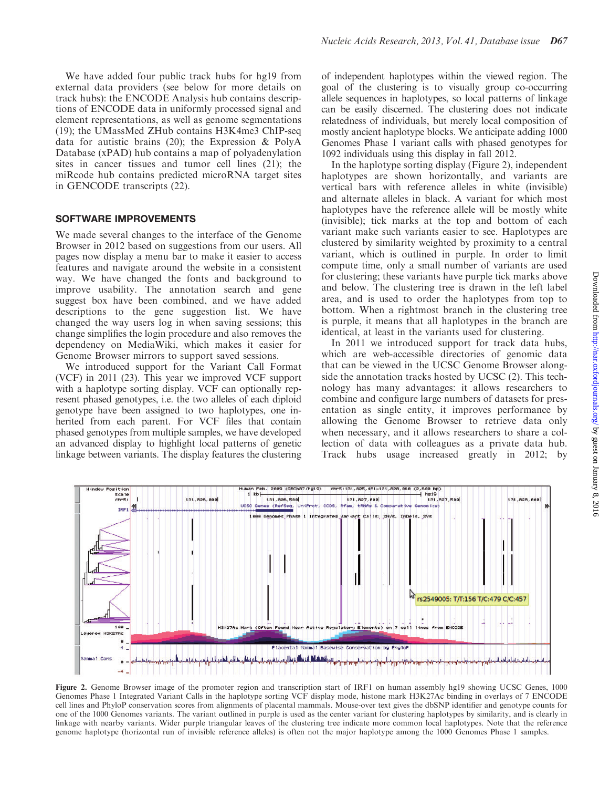We have added four public track hubs for hg19 from external data providers (see below for more details on track hubs): the ENCODE Analysis hub contains descriptions of ENCODE data in uniformly processed signal and element representations, as well as genome segmentations [\(19](#page-5-0)); the UMassMed ZHub contains H3K4me3 ChIP-seq data for autistic brains [\(20\)](#page-5-0); the Expression & PolyA Database (xPAD) hub contains a map of polyadenylation sites in cancer tissues and tumor cell lines [\(21](#page-5-0)); the miRcode hub contains predicted microRNA target sites in GENCODE transcripts [\(22\)](#page-5-0).

## SOFTWARE IMPROVEMENTS

We made several changes to the interface of the Genome Browser in 2012 based on suggestions from our users. All pages now display a menu bar to make it easier to access features and navigate around the website in a consistent way. We have changed the fonts and background to improve usability. The annotation search and gene suggest box have been combined, and we have added descriptions to the gene suggestion list. We have changed the way users log in when saving sessions; this change simplifies the login procedure and also removes the dependency on MediaWiki, which makes it easier for Genome Browser mirrors to support saved sessions.

We introduced support for the Variant Call Format (VCF) in 2011 [\(23\)](#page-5-0). This year we improved VCF support with a haplotype sorting display. VCF can optionally represent phased genotypes, i.e. the two alleles of each diploid genotype have been assigned to two haplotypes, one inherited from each parent. For VCF files that contain phased genotypes from multiple samples, we have developed an advanced display to highlight local patterns of genetic linkage between variants. The display features the clustering of independent haplotypes within the viewed region. The goal of the clustering is to visually group co-occurring allele sequences in haplotypes, so local patterns of linkage can be easily discerned. The clustering does not indicate relatedness of individuals, but merely local composition of mostly ancient haplotype blocks. We anticipate adding 1000 Genomes Phase 1 variant calls with phased genotypes for 1092 individuals using this display in fall 2012.

In the haplotype sorting display (Figure 2), independent haplotypes are shown horizontally, and variants are vertical bars with reference alleles in white (invisible) and alternate alleles in black. A variant for which most haplotypes have the reference allele will be mostly white (invisible); tick marks at the top and bottom of each variant make such variants easier to see. Haplotypes are clustered by similarity weighted by proximity to a central variant, which is outlined in purple. In order to limit compute time, only a small number of variants are used for clustering; these variants have purple tick marks above and below. The clustering tree is drawn in the left label area, and is used to order the haplotypes from top to bottom. When a rightmost branch in the clustering tree is purple, it means that all haplotypes in the branch are identical, at least in the variants used for clustering.

In 2011 we introduced support for track data hubs, which are web-accessible directories of genomic data that can be viewed in the UCSC Genome Browser alongside the annotation tracks hosted by UCSC ([2\)](#page-4-0). This technology has many advantages: it allows researchers to combine and configure large numbers of datasets for presentation as single entity, it improves performance by allowing the Genome Browser to retrieve data only when necessary, and it allows researchers to share a collection of data with colleagues as a private data hub. Track hubs usage increased greatly in 2012; by



Figure 2. Genome Browser image of the promoter region and transcription start of IRF1 on human assembly hg19 showing UCSC Genes, 1000 Genomes Phase 1 Integrated Variant Calls in the haplotype sorting VCF display mode, histone mark H3K27Ac binding in overlays of 7 ENCODE cell lines and PhyloP conservation scores from alignments of placental mammals. Mouse-over text gives the dbSNP identifier and genotype counts for one of the 1000 Genomes variants. The variant outlined in purple is used as the center variant for clustering haplotypes by similarity, and is clearly in linkage with nearby variants. Wider purple triangular leaves of the clustering tree indicate more common local haplotypes. Note that the reference genome haplotype (horizontal run of invisible reference alleles) is often not the major haplotype among the 1000 Genomes Phase 1 samples.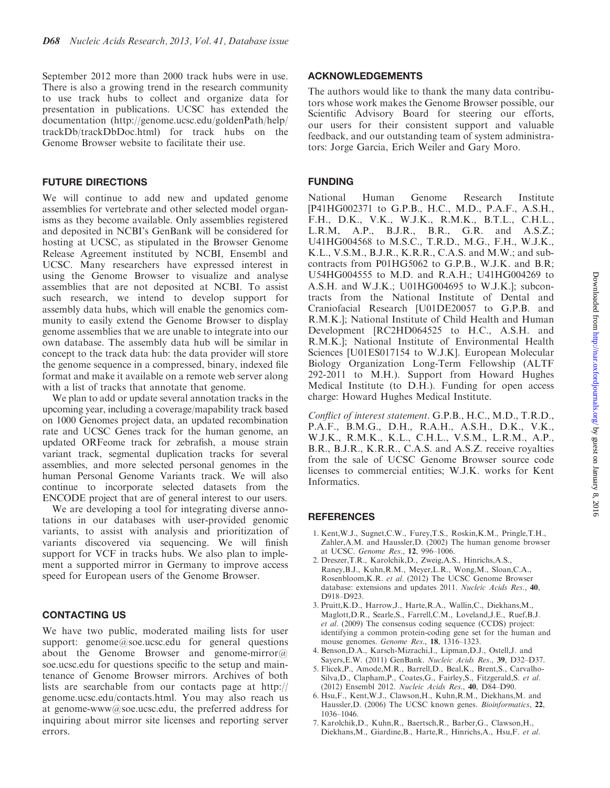<span id="page-4-0"></span>September 2012 more than 2000 track hubs were in use. There is also a growing trend in the research community to use track hubs to collect and organize data for presentation in publications. UCSC has extended the documentation (http://genome.ucsc.edu/goldenPath/help/ trackDb/trackDbDoc.html) for track hubs on the Genome Browser website to facilitate their use.

## FUTURE DIRECTIONS

We will continue to add new and updated genome assemblies for vertebrate and other selected model organisms as they become available. Only assemblies registered and deposited in NCBI's GenBank will be considered for hosting at UCSC, as stipulated in the Browser Genome Release Agreement instituted by NCBI, Ensembl and UCSC. Many researchers have expressed interest in using the Genome Browser to visualize and analyse assemblies that are not deposited at NCBI. To assist such research, we intend to develop support for assembly data hubs, which will enable the genomics community to easily extend the Genome Browser to display genome assemblies that we are unable to integrate into our own database. The assembly data hub will be similar in concept to the track data hub: the data provider will store the genome sequence in a compressed, binary, indexed file format and make it available on a remote web server along with a list of tracks that annotate that genome.

We plan to add or update several annotation tracks in the upcoming year, including a coverage/mapability track based on 1000 Genomes project data, an updated recombination rate and UCSC Genes track for the human genome, an updated ORFeome track for zebrafish, a mouse strain variant track, segmental duplication tracks for several assemblies, and more selected personal genomes in the human Personal Genome Variants track. We will also continue to incorporate selected datasets from the ENCODE project that are of general interest to our users.

We are developing a tool for integrating diverse annotations in our databases with user-provided genomic variants, to assist with analysis and prioritization of variants discovered via sequencing. We will finish support for VCF in tracks hubs. We also plan to implement a supported mirror in Germany to improve access speed for European users of the Genome Browser.

## CONTACTING US

We have two public, moderated mailing lists for user support: genome@soe.ucsc.edu for general questions about the Genome Browser and genome-mirror $@$ soe.ucsc.edu for questions specific to the setup and maintenance of Genome Browser mirrors. Archives of both lists are searchable from our contacts page at http:// genome.ucsc.edu/contacts.html. You may also reach us at genome-www@soe.ucsc.edu, the preferred address for inquiring about mirror site licenses and reporting server errors.

## ACKNOWLEDGEMENTS

The authors would like to thank the many data contributors whose work makes the Genome Browser possible, our Scientific Advisory Board for steering our efforts, our users for their consistent support and valuable feedback, and our outstanding team of system administrators: Jorge Garcia, Erich Weiler and Gary Moro.

# FUNDING

National Human Genome Research Institute [P41HG002371 to G.P.B., H.C., M.D., P.A.F., A.S.H., F.H., D.K., V.K., W.J.K., R.M.K., B.T.L., C.H.L., L.R.M, A.P., B.J.R., B.R., G.R. and A.S.Z.; U41HG004568 to M.S.C., T.R.D., M.G., F.H., W.J.K., K.L., V.S.M., B.J.R., K.R.R., C.A.S. and M.W.; and subcontracts from P01HG5062 to G.P.B., W.J.K. and B.R; U54HG004555 to M.D. and R.A.H.; U41HG004269 to A.S.H. and W.J.K.; U01HG004695 to W.J.K.]; subcontracts from the National Institute of Dental and Craniofacial Research [U01DE20057 to G.P.B. and R.M.K.]; National Institute of Child Health and Human Development [RC2HD064525 to H.C., A.S.H. and R.M.K.]; National Institute of Environmental Health Sciences [U01ES017154 to W.J.K]. European Molecular Biology Organization Long-Term Fellowship (ALTF 292-2011 to M.H.). Support from Howard Hughes Medical Institute (to D.H.). Funding for open access charge: Howard Hughes Medical Institute.

Conflict of interest statement. G.P.B., H.C., M.D., T.R.D., P.A.F., B.M.G., D.H., R.A.H., A.S.H., D.K., V.K., W.J.K., R.M.K., K.L., C.H.L., V.S.M., L.R.M., A.P., B.R., B.J.R., K.R.R., C.A.S. and A.S.Z. receive royalties from the sale of UCSC Genome Browser source code licenses to commercial entities; W.J.K. works for Kent Informatics.

## **REFERENCES**

- 1. Kent,W.J., Sugnet,C.W., Furey,T.S., Roskin,K.M., Pringle,T.H., Zahler,A.M. and Haussler,D. (2002) The human genome browser at UCSC. Genome Res., 12, 996–1006.
- 2. Dreszer,T.R., Karolchik,D., Zweig,A.S., Hinrichs,A.S., Raney,B.J., Kuhn,R.M., Meyer,L.R., Wong,M., Sloan,C.A., Rosenbloom,K.R. et al. (2012) The UCSC Genome Browser database: extensions and updates 2011. Nucleic Acids Res., 40, D918–D923.
- 3. Pruitt,K.D., Harrow,J., Harte,R.A., Wallin,C., Diekhans,M., Maglott,D.R., Searle,S., Farrell,C.M., Loveland,J.E., Ruef,B.J. et al. (2009) The consensus coding sequence (CCDS) project: identifying a common protein-coding gene set for the human and mouse genomes. Genome Res., 18, 1316-1323.
- 4. Benson,D.A., Karsch-Mizrachi,I., Lipman,D.J., Ostell,J. and Sayers,E.W. (2011) GenBank. Nucleic Acids Res., 39, D32–D37.
- 5. Flicek,P., Amode,M.R., Barrell,D., Beal,K., Brent,S., Carvalho-Silva,D., Clapham,P., Coates,G., Fairley,S., Fitzgerald,S. et al. (2012) Ensembl 2012. Nucleic Acids Res., 40, D84–D90.
- 6. Hsu,F., Kent,W.J., Clawson,H., Kuhn,R.M., Diekhans,M. and Haussler,D. (2006) The UCSC known genes. Bioinformatics, 22, 1036–1046.
- 7. Karolchik,D., Kuhn,R., Baertsch,R., Barber,G., Clawson,H., Diekhans,M., Giardine,B., Harte,R., Hinrichs,A., Hsu,F. et al.